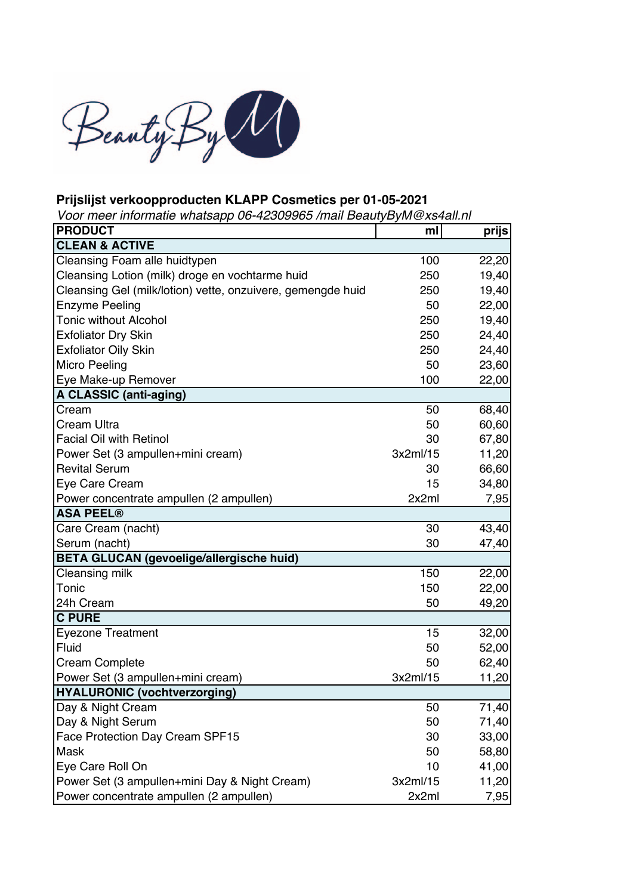

## **Prijslijst verkoopproducten KLAPP Cosmetics per 01-05-2021**

*Voor meer informatie whatsapp 06-42309965 /mail BeautyByM@xs4all.nl*

| <b>PRODUCT</b>                                              | ml       | prijs |
|-------------------------------------------------------------|----------|-------|
| <b>CLEAN &amp; ACTIVE</b>                                   |          |       |
| Cleansing Foam alle huidtypen                               | 100      | 22,20 |
| Cleansing Lotion (milk) droge en vochtarme huid             | 250      | 19,40 |
| Cleansing Gel (milk/lotion) vette, onzuivere, gemengde huid | 250      | 19,40 |
| <b>Enzyme Peeling</b>                                       | 50       | 22,00 |
| <b>Tonic without Alcohol</b>                                | 250      | 19,40 |
| <b>Exfoliator Dry Skin</b>                                  | 250      | 24,40 |
| <b>Exfoliator Oily Skin</b>                                 | 250      | 24,40 |
| Micro Peeling                                               | 50       | 23,60 |
| Eye Make-up Remover                                         | 100      | 22,00 |
| <b>A CLASSIC (anti-aging)</b>                               |          |       |
| Cream                                                       | 50       | 68,40 |
| Cream Ultra                                                 | 50       | 60,60 |
| <b>Facial Oil with Retinol</b>                              | 30       | 67,80 |
| Power Set (3 ampullen+mini cream)                           | 3x2ml/15 | 11,20 |
| <b>Revital Serum</b>                                        | 30       | 66,60 |
| Eye Care Cream                                              | 15       | 34,80 |
| Power concentrate ampullen (2 ampullen)                     | 2x2ml    | 7,95  |
| <b>ASA PEEL®</b>                                            |          |       |
| Care Cream (nacht)                                          | 30       | 43,40 |
| Serum (nacht)                                               | 30       | 47,40 |
| <b>BETA GLUCAN (gevoelige/allergische huid)</b>             |          |       |
| Cleansing milk                                              | 150      | 22,00 |
| Tonic                                                       | 150      | 22,00 |
| 24h Cream                                                   | 50       | 49,20 |
| <b>C PURE</b>                                               |          |       |
| <b>Eyezone Treatment</b>                                    | 15       | 32,00 |
| Fluid                                                       | 50       | 52,00 |
| <b>Cream Complete</b>                                       | 50       | 62,40 |
| Power Set (3 ampullen+mini cream)                           | 3x2ml/15 | 11,20 |
| <b>HYALURONIC (vochtverzorging)</b>                         |          |       |
| Day & Night Cream                                           | 50       | 71,40 |
| Day & Night Serum                                           | 50       | 71,40 |
| Face Protection Day Cream SPF15                             | 30       | 33,00 |
| Mask                                                        | 50       | 58,80 |
| Eye Care Roll On                                            | 10       | 41,00 |
| Power Set (3 ampullen+mini Day & Night Cream)               | 3x2ml/15 | 11,20 |
| Power concentrate ampullen (2 ampullen)                     | 2x2ml    | 7,95  |